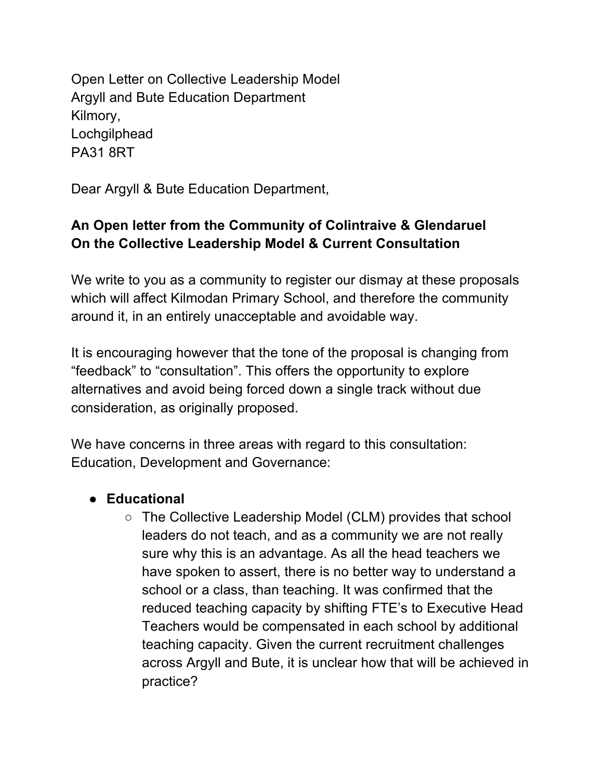Open Letter on Collective Leadership Model Argyll and Bute Education Department Kilmory, Lochgilphead PA31 8RT

Dear Argyll & Bute Education Department,

## **An Open letter from the Community of Colintraive & Glendaruel On the Collective Leadership Model & Current Consultation**

We write to you as a community to register our dismay at these proposals which will affect Kilmodan Primary School, and therefore the community around it, in an entirely unacceptable and avoidable way.

It is encouraging however that the tone of the proposal is changing from "feedback" to "consultation". This offers the opportunity to explore alternatives and avoid being forced down a single track without due consideration, as originally proposed.

We have concerns in three areas with regard to this consultation: Education, Development and Governance:

### ● **Educational**

○ The Collective Leadership Model (CLM) provides that school leaders do not teach, and as a community we are not really sure why this is an advantage. As all the head teachers we have spoken to assert, there is no better way to understand a school or a class, than teaching. It was confirmed that the reduced teaching capacity by shifting FTE's to Executive Head Teachers would be compensated in each school by additional teaching capacity. Given the current recruitment challenges across Argyll and Bute, it is unclear how that will be achieved in practice?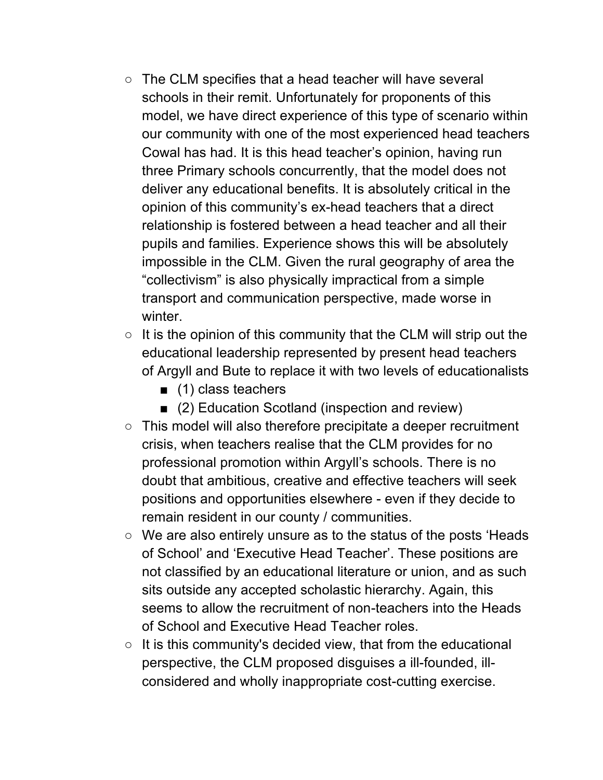- The CLM specifies that a head teacher will have several schools in their remit. Unfortunately for proponents of this model, we have direct experience of this type of scenario within our community with one of the most experienced head teachers Cowal has had. It is this head teacher's opinion, having run three Primary schools concurrently, that the model does not deliver any educational benefits. It is absolutely critical in the opinion of this community's ex-head teachers that a direct relationship is fostered between a head teacher and all their pupils and families. Experience shows this will be absolutely impossible in the CLM. Given the rural geography of area the "collectivism" is also physically impractical from a simple transport and communication perspective, made worse in winter.
- $\circ$  It is the opinion of this community that the CLM will strip out the educational leadership represented by present head teachers of Argyll and Bute to replace it with two levels of educationalists
	- (1) class teachers
	- (2) Education Scotland (inspection and review)
- This model will also therefore precipitate a deeper recruitment crisis, when teachers realise that the CLM provides for no professional promotion within Argyll's schools. There is no doubt that ambitious, creative and effective teachers will seek positions and opportunities elsewhere - even if they decide to remain resident in our county / communities.
- We are also entirely unsure as to the status of the posts 'Heads' of School' and 'Executive Head Teacher'. These positions are not classified by an educational literature or union, and as such sits outside any accepted scholastic hierarchy. Again, this seems to allow the recruitment of non-teachers into the Heads of School and Executive Head Teacher roles.
- $\circ$  It is this community's decided view, that from the educational perspective, the CLM proposed disguises a ill-founded, illconsidered and wholly inappropriate cost-cutting exercise.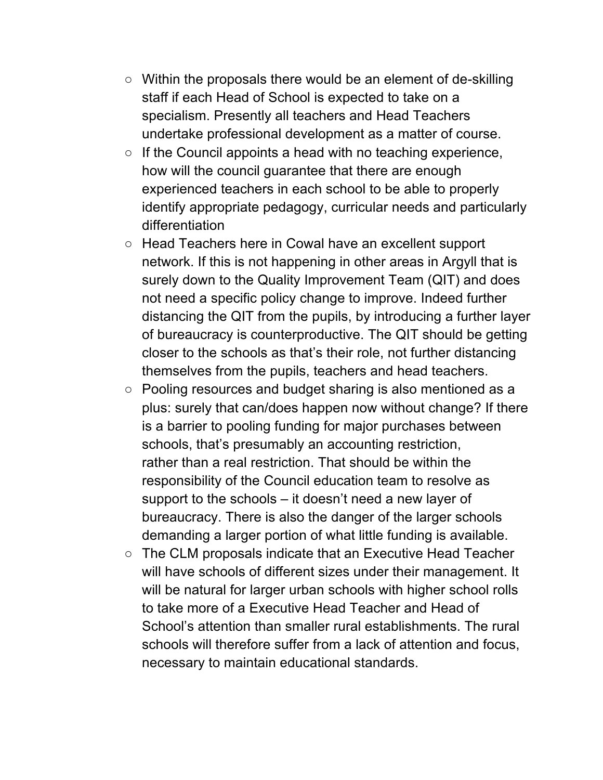- Within the proposals there would be an element of de-skilling staff if each Head of School is expected to take on a specialism. Presently all teachers and Head Teachers undertake professional development as a matter of course.
- $\circ$  If the Council appoints a head with no teaching experience, how will the council guarantee that there are enough experienced teachers in each school to be able to properly identify appropriate pedagogy, curricular needs and particularly differentiation
- Head Teachers here in Cowal have an excellent support network. If this is not happening in other areas in Argyll that is surely down to the Quality Improvement Team (QIT) and does not need a specific policy change to improve. Indeed further distancing the QIT from the pupils, by introducing a further layer of bureaucracy is counterproductive. The QIT should be getting closer to the schools as that's their role, not further distancing themselves from the pupils, teachers and head teachers.
- Pooling resources and budget sharing is also mentioned as a plus: surely that can/does happen now without change? If there is a barrier to pooling funding for major purchases between schools, that's presumably an accounting restriction, rather than a real restriction. That should be within the responsibility of the Council education team to resolve as support to the schools – it doesn't need a new layer of bureaucracy. There is also the danger of the larger schools demanding a larger portion of what little funding is available.
- The CLM proposals indicate that an Executive Head Teacher will have schools of different sizes under their management. It will be natural for larger urban schools with higher school rolls to take more of a Executive Head Teacher and Head of School's attention than smaller rural establishments. The rural schools will therefore suffer from a lack of attention and focus, necessary to maintain educational standards.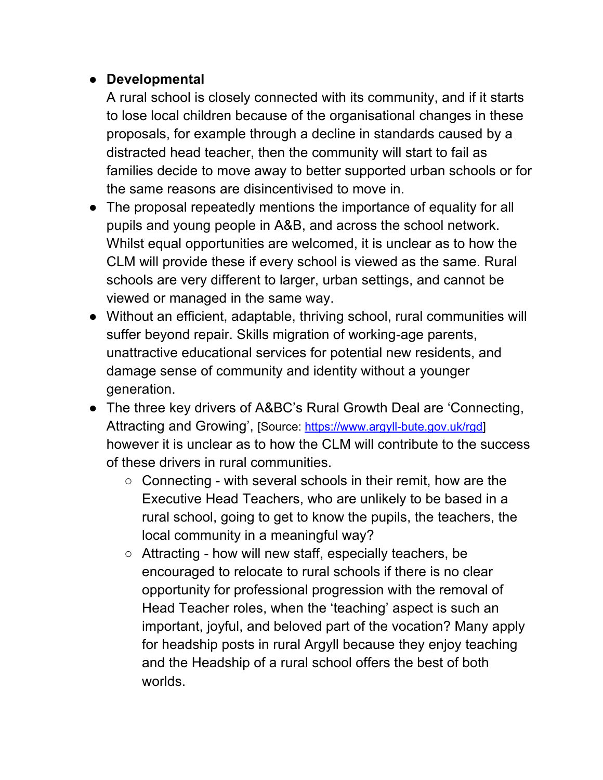### ● **Developmental**

A rural school is closely connected with its community, and if it starts to lose local children because of the organisational changes in these proposals, for example through a decline in standards caused by a distracted head teacher, then the community will start to fail as families decide to move away to better supported urban schools or for the same reasons are disincentivised to move in.

- The proposal repeatedly mentions the importance of equality for all pupils and young people in A&B, and across the school network. Whilst equal opportunities are welcomed, it is unclear as to how the CLM will provide these if every school is viewed as the same. Rural schools are very different to larger, urban settings, and cannot be viewed or managed in the same way.
- Without an efficient, adaptable, thriving school, rural communities will suffer beyond repair. Skills migration of working-age parents, unattractive educational services for potential new residents, and damage sense of community and identity without a younger generation.
- The three key drivers of A&BC's Rural Growth Deal are 'Connecting, Attracting and Growing', [Source: https://www.argyll-bute.gov.uk/rgd] however it is unclear as to how the CLM will contribute to the success of these drivers in rural communities.
	- $\circ$  Connecting with several schools in their remit, how are the Executive Head Teachers, who are unlikely to be based in a rural school, going to get to know the pupils, the teachers, the local community in a meaningful way?
	- Attracting how will new staff, especially teachers, be encouraged to relocate to rural schools if there is no clear opportunity for professional progression with the removal of Head Teacher roles, when the 'teaching' aspect is such an important, joyful, and beloved part of the vocation? Many apply for headship posts in rural Argyll because they enjoy teaching and the Headship of a rural school offers the best of both worlds.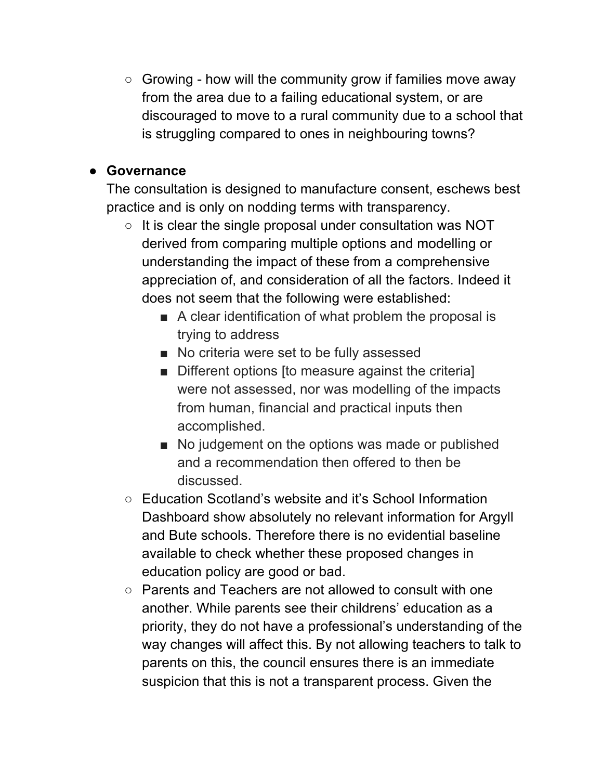$\circ$  Growing - how will the community grow if families move away from the area due to a failing educational system, or are discouraged to move to a rural community due to a school that is struggling compared to ones in neighbouring towns?

#### ● **Governance**

The consultation is designed to manufacture consent, eschews best practice and is only on nodding terms with transparency.

- $\circ$  It is clear the single proposal under consultation was NOT derived from comparing multiple options and modelling or understanding the impact of these from a comprehensive appreciation of, and consideration of all the factors. Indeed it does not seem that the following were established:
	- A clear identification of what problem the proposal is trying to address
	- No criteria were set to be fully assessed
	- Different options [to measure against the criteria] were not assessed, nor was modelling of the impacts from human, financial and practical inputs then accomplished.
	- No judgement on the options was made or published and a recommendation then offered to then be discussed.
- Education Scotland's website and it's School Information Dashboard show absolutely no relevant information for Argyll and Bute schools. Therefore there is no evidential baseline available to check whether these proposed changes in education policy are good or bad.
- Parents and Teachers are not allowed to consult with one another. While parents see their childrens' education as a priority, they do not have a professional's understanding of the way changes will affect this. By not allowing teachers to talk to parents on this, the council ensures there is an immediate suspicion that this is not a transparent process. Given the